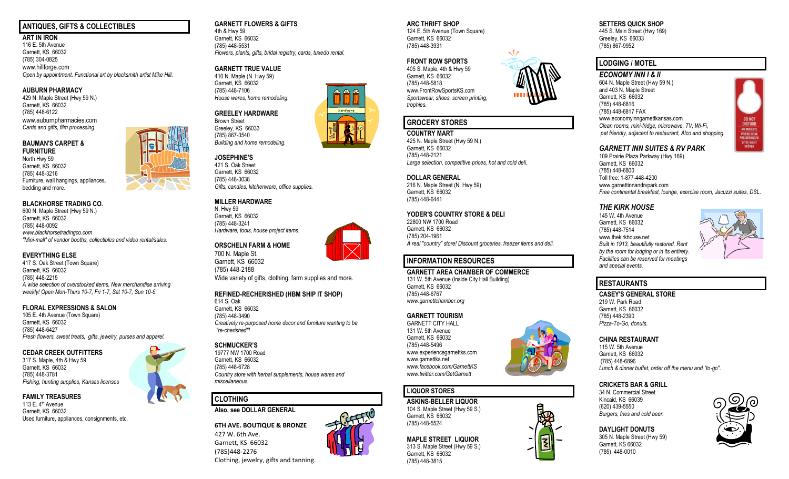#### **ANTIQUES, GIFTS & COLLECTIBLES**

**ART IN IRON** 116 E. 5th Avenue Garnett, KS 66032 (785) 304-0825 www.hillforge.com *Open by appointment. Functional art by blacksmith artist Mike Hill.*

#### **AUBURN PHARMACY**

429 N. Maple Street (Hwy 59 N.) Garnett, KS 66032 (785) 448-6122 www.auburnpharmacies.com *Cards and gifts, film processing.*

#### **BAUMAN'S CARPET & FURNITURE**

North Hwy 59 Garnett, KS 66032 (785) 448-3216 Furniture, wall hangings, appliances, bedding and more.

#### **BLACKHORSE TRADING CO.**

600 N. Maple Street (Hwy 59 N.) Garnett, KS 66032 (785) 448-0092 *www.blackhorsetradingco.com "Mini-mall" of vendor booths, collectibles and video rental/sales.*

**10.** 

#### **EVERYTHING ELSE**

417 S. Oak Street (Town Square) Garnett, KS 66032 (785) 448-2215 *A wide selection of overstocked items. New merchandise arriving weekly! Open Mon-Thurs 10-7, Fri 1-7, Sat 10-7, Sun 10-5.*

#### **FLORAL EXPRESSIONS & SALON**

105 E. 4th Avenue (Town Square) Garnett, KS 66032 (785) 448-6427 *Fresh flowers, sweet treats, gifts, jewelry, purses and apparel.*

#### **CEDAR CREEK OUTFITTERS**

317 S. Maple, 4th & Hwy 59 Garnett, KS 66032 (785) 448-3781 *Fishing, hunting supplies, Kansas licenses*

#### **FAMILY TREASURES**

113 E. 4th Avenue Garnett, KS 66032 Used furniture, appliances, consignments, etc.

#### **GARNETT FLOWERS & GIFTS**

4th & Hwy 59 Garnett, KS 66032 (785) 448-5531 *Flowers, plants, gifts, bridal registry, cards, tuxedo rental.*

#### **GARNETT TRUE VALUE**

410 N. Maple (N. Hwy 59) Garnett, KS 66032 (785) 448-7106 *House wares, home remodeling.*

#### **GREELEY HARDWARE**

Brown Street Greeley, KS 66033 (785) 867-3540 *Building and home remodeling.*

#### **JOSEPHINE'S**  421 S. Oak Street Garnett, KS 66032 (785) 448-3038 *Gifts, candles, kitchenware, office supplies.*

#### **MILLER HARDWARE**

N. Hwy 59 Garnett, KS 66032 (785) 448-3241 *Hardware, tools, house project items.*



700 N. Maple St. Garnett, KS 66032 (785) 448-2188 Wide variety of gifts, clothing, farm supplies and more.

#### **REFINED-RECHERISHED (HBM SHIP IT SHOP)**

614 S. Oak Garnett, KS 66032 (785) 448-3490 *Creatively re-purposed home decor and furniture wanting to be "re-cherished"!*

#### **SCHMUCKER'S**

19777 NW 1700 Road Garnett, KS 66032 (785) 448-6728 *Country store with herbal supplements, house wares and miscellaneous.*

#### **CLOTHING**

**Also, see DOLLAR GENERAL**

**6TH AVE. BOUTIQUE & BRONZE** 427 W. 6th Ave. Garnett, KS 66032 (785)448-2276 Clothing, jewelry, gifts and tanning.

## **ARC THRIFT SHOP**

124 E. 5th Avenue (Town Square) Garnett, KS 66032 (785) 448-3931

#### **FRONT ROW SPORTS**

405 S. Maple, 4th & Hwy 59 Garnett, KS 66032 (785) 448-5818 www.FrontRowSportsKS.com *Sportswear, shoes, screen printing, trophies.*

### **GROCERY STORES**

**COUNTRY MART** 425 N. Maple Street (Hwy 59 N.) Garnett, KS 66032 (785) 448-2121 *Large selection, competitive prices, hot and cold deli.*

#### **DOLLAR GENERAL**

216 N. Maple Street (N. Hwy 59) Garnett, KS 66032 (785) 448-6441

#### **YODER'S COUNTRY STORE & DELI**

22800 NW 1700 Road Garnett, KS 66032 (785) 204-1961 *A real "country" store! Discount groceries, freezer items and deli.* 

### **INFORMATION RESOURCES**

**GARNETT AREA CHAMBER OF COMMERCE**

131 W. 5th Avenue (Inside City Hall Building) Garnett, KS 66032 (785) 448-6767 *[www.garnettchamber.org](http://www.garnettchamber.org/)*

#### **GARNETT TOURISM**

GARNETT CITY HALL 131 W. 5th Avenue Garnett, KS 66032 (785) 448-5496 www.experiencegarnettks.com www.garnettks.net *[www.facebook.com/GarnettKS](http://www.facebook.com/GarnettKS) www.twitter.com/GetGarnett*

## **LIQUOR STORES**

**ASKINS-BELLER LIQUOR** 104 S. Maple Street (Hwy 59 S.) Garnett, KS 66032 (785) 448-5524

## **MAPLE STREET LIQUIOR**

313 S. Maple Street (Hwy 59 S.) Garnett, KS 66032 (785) 448-3815

#### **SETTERS QUICK SHOP**

445 S. Main Street (Hwy 169) Greeley, KS 66033 (785) 867-9952

## **LODGING / MOTEL**

*ECONOMY INN I & II* 604 N. Maple Street (Hwy 59 N.) and 403 N. Maple Street Garnett, KS 66032 (785) 448-6816 (785) 448-6817 FAX www.economyinngarnettkansas.com *Clean rooms, mini-fridge, microwave, TV, Wi-Fi, pet friendly, adjacent to restaurant, Alco and shopping.*

## **DO NOT DISTURB** NO MOLESTE **PRIÈRE DE NE<br>PAS DÉRANGER BITTE NICHT**

#### *GARNETT INN SUITES & RV PARK*

109 Prairie Plaza Parkway (Hwy 169) Garnett, KS 66032 (785) 448-6800 Toll free: 1-877-448-4200 www.garnettinnandrvpark.com *Free continental breakfast, lounge, exercise room, Jacuzzi suites, DSL.*

#### *THE KIRK HOUSE*

145 W. 4th Avenue Garnett, KS 66032 (785) 448-7514 www.thekirkhouse.net *Built in 1913, beautifully restored. Rent by the room for lodging or in its entirety. Facilities can be reserved for meetings and special events.*



## **RESTAURANTS**

**CASEY'S GENERAL STORE** 219 W. Park Road Garnett, KS 66032 (785) 448-2390 *Pizza-To-Go, donuts.*

#### **CHINA RESTAURANT**

115 W. 5th Avenue Garnett, KS 66032 (785) 448-6896 *Lunch & dinner buffet, order off the menu and "to-go".*

#### **CRICKETS BAR & GRILL**

34 N. Commercial Street Kincaid, KS 66039 (620) 439-5550 *Burgers, fries and cold beer.*

脚

#### **DAYLIGHT DONUTS**

305 N. Maple Street (Hwy 59) Garnett, KS 66032 (785) 448-0010







hardware